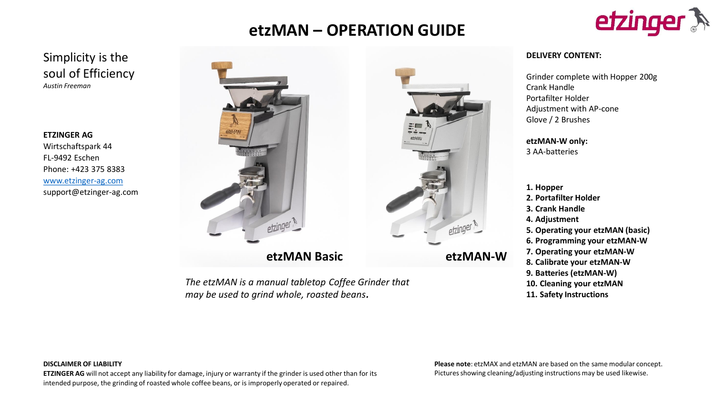# **etzMAN – OPERATION GUIDE**



# Simplicity is the soul of Efficiency *Austin Freeman*

**ETZINGER AG** Wirtschaftspark 44 FL-9492 Eschen Phone: +423 375 8383 [www.etzinger-ag.com](http://www.etzinger-ag.com/) support@etzinger-ag.com





#### **DELIVERY CONTENT:**

Grinder complete with Hopper 200g Crank Handle Portafilter Holder Adjustment with AP-cone Glove / 2 Brushes

**etzMAN-W only:**  3 AA-batteries

**1. Hopper 2. Portafilter Holder 3. Crank Handle 4. Adjustment 5. Operating your etzMAN (basic) 6. Programming your etzMAN-W 7. Operating your etzMAN-W 8. Calibrate your etzMAN-W 9. Batteries (etzMAN-W) 10. Cleaning your etzMAN 11. Safety Instructions**

*The etzMAN is a manual tabletop Coffee Grinder that may be used to grind whole, roasted beans.* 

**DISCLAIMER OF LIABILITY** 

**ETZINGER AG** will not accept any liability for damage, injury or warranty if the grinder is used other than for its intended purpose, the grinding of roasted whole coffee beans, or is improperly operated or repaired.

**Please note**: etzMAX and etzMAN are based on the same modular concept. Pictures showing cleaning/adjusting instructions may be used likewise.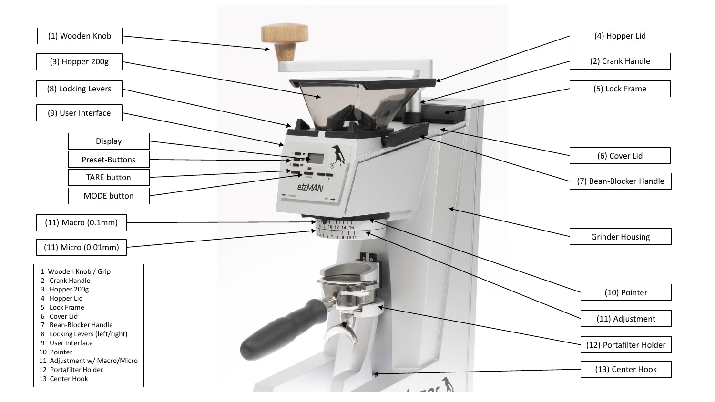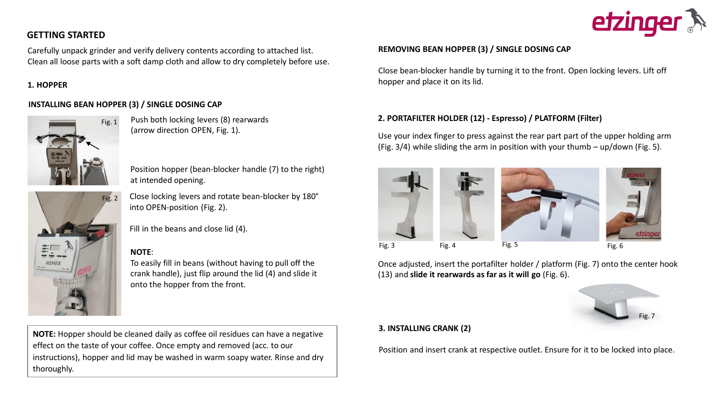# **GETTING STARTED**

Carefully unpack grinder and verify delivery contents according to attached list. Clean all loose parts with a soft damp cloth and allow to dry completely before use.

#### **1. HOPPER**

#### **INSTALLING BEAN HOPPER (3) / SINGLE DOSING CAP**

Fig. 2



- Push both locking levers (8) rearwards (arrow direction OPEN, Fig. 1).
- Position hopper (bean-blocker handle (7) to the right) at intended opening.
- Close locking levers and rotate bean-blocker by 180° into OPEN-position (Fig. 2).
- Fill in the beans and close lid (4).

#### **NOTE**:

To easily fill in beans (without having to pull off the crank handle), just flip around the lid (4) and slide it onto the hopper from the front.

**NOTE:** Hopper should be cleaned daily as coffee oil residues can have a negative effect on the taste of your coffee. Once empty and removed (acc. to our instructions), hopper and lid may be washed in warm soapy water. Rinse and dry thoroughly.

# **REMOVING BEAN HOPPER (3) / SINGLE DOSING CAP**

Close bean-blocker handle by turning it to the front. Open locking levers. Lift off hopper and place it on its lid.

# **2. PORTAFILTER HOLDER (12) - Espresso) / PLATFORM (Filter)**

Use your index finger to press against the rear part part of the upper holding arm (Fig. 3/4) while sliding the arm in position with your thumb – up/down (Fig. 5).



Once adjusted, insert the portafilter holder / platform (Fig. 7) onto the center hook (13) and **slide it rearwards as far as it will go** (Fig. 6).

# Fig. 7

# **3. INSTALLING CRANK (2)**

Position and insert crank at respective outlet. Ensure for it to be locked into place.

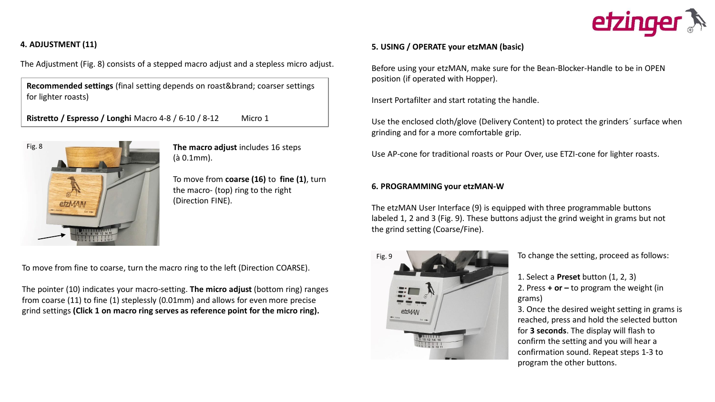

# **4. ADJUSTMENT (11)**

The Adjustment (Fig. 8) consists of a stepped macro adjust and a stepless micro adjust.

**Recommended settings** (final setting depends on roast&brand; coarser settings for lighter roasts)

**Ristretto / Espresso / Longhi** Macro 4-8 / 6-10 / 8-12 Micro 1



**The macro adjust** includes 16 steps (à 0.1mm).

To move from **coarse (16)** to **fine (1)**, turn the macro- (top) ring to the right (Direction FINE).

To move from fine to coarse, turn the macro ring to the left (Direction COARSE).

The pointer (10) indicates your macro-setting. **The micro adjust** (bottom ring) ranges from coarse (11) to fine (1) steplessly (0.01mm) and allows for even more precise grind settings **(Click 1 on macro ring serves as reference point for the micro ring).** 

#### **5. USING / OPERATE your etzMAN (basic)**

Before using your etzMAN, make sure for the Bean-Blocker-Handle to be in OPEN position (if operated with Hopper).

Insert Portafilter and start rotating the handle.

Use the enclosed cloth/glove (Delivery Content) to protect the grinders´ surface when grinding and for a more comfortable grip.

Use AP-cone for traditional roasts or Pour Over, use ETZI-cone for lighter roasts.

#### **6. PROGRAMMING your etzMAN-W**

The etzMAN User Interface (9) is equipped with three programmable buttons labeled 1, 2 and 3 (Fig. 9). These buttons adjust the grind weight in grams but not the grind setting (Coarse/Fine).



To change the setting, proceed as follows:

1. Select a **Preset** button (1, 2, 3) 2. Press **+ or –** to program the weight (in grams)

3. Once the desired weight setting in grams is reached, press and hold the selected button for **3 seconds**. The display will flash to confirm the setting and you will hear a confirmation sound. Repeat steps 1-3 to program the other buttons.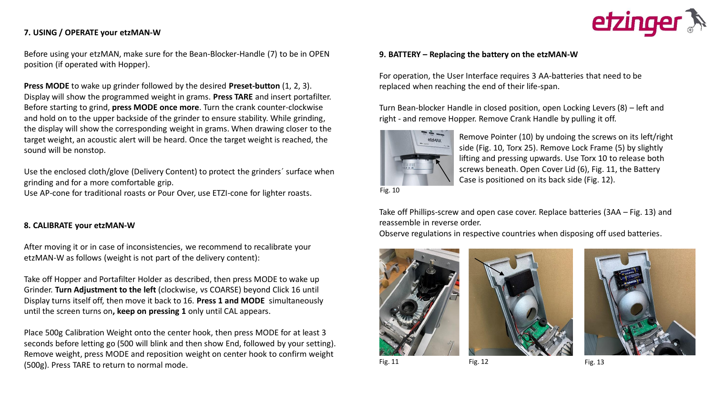#### **7. USING / OPERATE your etzMAN-W**

Before using your etzMAN, make sure for the Bean-Blocker-Handle (7) to be in OPEN position (if operated with Hopper).

**Press MODE** to wake up grinder followed by the desired **Preset-button** (1, 2, 3). Display will show the programmed weight in grams. **Press TARE** and insert portafilter. Before starting to grind, **press MODE once more**. Turn the crank counter-clockwise and hold on to the upper backside of the grinder to ensure stability. While grinding, the display will show the corresponding weight in grams. When drawing closer to the target weight, an acoustic alert will be heard. Once the target weight is reached, the sound will be nonstop.

Use the enclosed cloth/glove (Delivery Content) to protect the grinders´ surface when grinding and for a more comfortable grip.

Use AP-cone for traditional roasts or Pour Over, use ETZI-cone for lighter roasts.

#### **8. CALIBRATE your etzMAN-W**

After moving it or in case of inconsistencies, we recommend to recalibrate your etzMAN-W as follows (weight is not part of the delivery content):

Take off Hopper and Portafilter Holder as described, then press MODE to wake up Grinder. **Turn Adjustment to the left** (clockwise, vs COARSE) beyond Click 16 until Display turns itself off, then move it back to 16. **Press 1 and MODE** simultaneously until the screen turns on**, keep on pressing 1** only until CAL appears.

Place 500g Calibration Weight onto the center hook, then press MODE for at least 3 seconds before letting go (500 will blink and then show End, followed by your setting). Remove weight, press MODE and reposition weight on center hook to confirm weight (500g). Press TARE to return to normal mode.



#### **9. BATTERY – Replacing the battery on the etzMAN-W**

For operation, the User Interface requires 3 AA-batteries that need to be replaced when reaching the end of their life-span.

Turn Bean-blocker Handle in closed position, open Locking Levers (8) – left and right - and remove Hopper. Remove Crank Handle by pulling it off.



Remove Pointer (10) by undoing the screws on its left/right side (Fig. 10, Torx 25). Remove Lock Frame (5) by slightly lifting and pressing upwards. Use Torx 10 to release both screws beneath. Open Cover Lid (6), Fig. 11, the Battery Case is positioned on its back side (Fig. 12).

Fig. 10

Take off Phillips-screw and open case cover. Replace batteries (3AA – Fig. 13) and reassemble in reverse order.

Observe regulations in respective countries when disposing off used batteries.